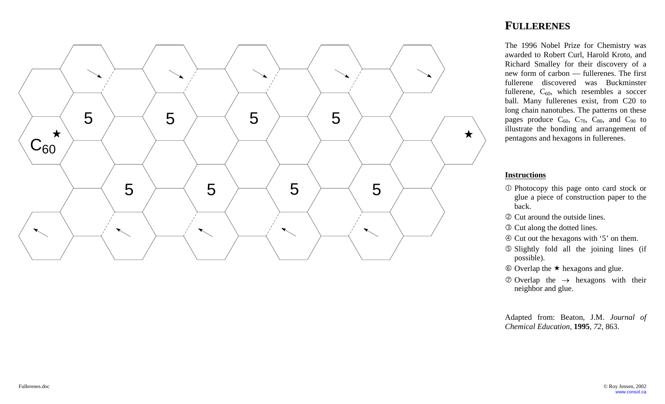

The 1996 Nobel Prize for Chemistry was awarded to Robert Curl, Harold Kroto, and Richard Smalley for their discovery of a new form of carbon — fullerenes. The first fullerene discovered was Buckminster fullerene,  $C_{60}$ , which resembles a soccer ball. Many fullerenes exist, from C20 to long chain nanotubes. The patterns on these pages produce  $C_{60}$ ,  $C_{70}$ ,  $C_{80}$ , and  $C_{90}$  to illustrate the bonding and arrangement of pentagons and hexagons in fullerenes.

#### **Instructions**

- c Photocopy this page onto card stock or glue a piece of construction paper to the back.
- d Cut around the outside lines.
- **Example 2** Cut along the dotted lines.
- f Cut out the hexagons with '5' on them.
- g Slightly fold all the joining lines (if possible).
- $\circ$  Overlap the  $\star$  hexagons and glue.
- $\oslash$  Overlap the  $\rightarrow$  hexagons with their neighbor and glue.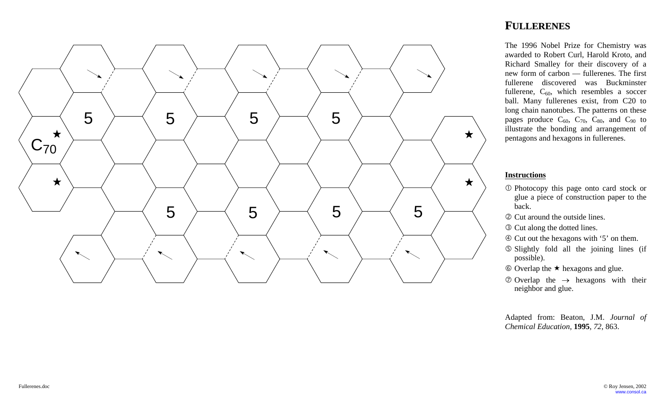

The 1996 Nobel Prize for Chemistry was awarded to Robert Curl, Harold Kroto, and Richard Smalley for their discovery of a new form of carbon — fullerenes. The first fullerene discovered was Buckminster fullerene,  $C_{60}$ , which resembles a soccer ball. Many fullerenes exist, from C20 to long chain nanotubes. The patterns on these pages produce  $C_{60}$ ,  $C_{70}$ ,  $C_{80}$ , and  $C_{90}$  to illustrate the bonding and arrangement of pentagons and hexagons in fullerenes.

#### **Instructions**

- c Photocopy this page onto card stock or glue a piece of construction paper to the back.
- d Cut around the outside lines.
- **Example 2** Cut along the dotted lines.
- f Cut out the hexagons with '5' on them.
- g Slightly fold all the joining lines (if possible).
- $\circ$  Overlap the  $\star$  hexagons and glue.
- $\oslash$  Overlap the  $\rightarrow$  hexagons with their neighbor and glue.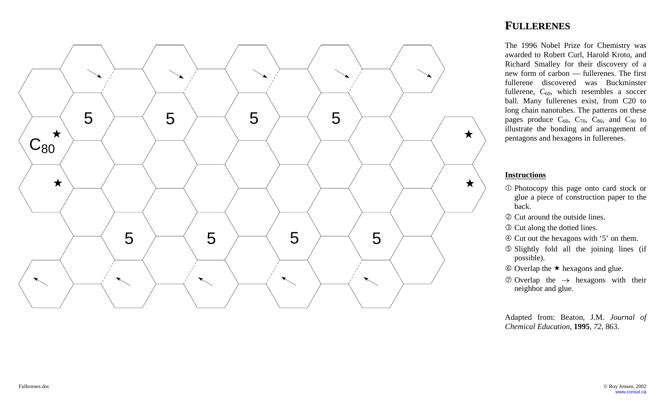

The 1996 Nobel Prize for Chemistry was awarded to Robert Curl, Harold Kroto, and Richard Smalley for their discovery of a new form of carbon — fullerenes. The first fullerene discovered was Buckminster fullerene,  $C_{60}$ , which resembles a soccer ball. Many fullerenes exist, from C20 to long chain nanotubes. The patterns on these pages produce  $C_{60}$ ,  $C_{70}$ ,  $C_{80}$ , and  $C_{90}$  to illustrate the bonding and arrangement of pentagons and hexagons in fullerenes.

### **Instructions**

- c Photocopy this page onto card stock or glue a piece of construction paper to the back.
- d Cut around the outside lines.
- **Example 2** Cut along the dotted lines.
- f Cut out the hexagons with '5' on them.
- g Slightly fold all the joining lines (if possible).
- $\circ$  Overlap the  $\star$  hexagons and glue.
- $\oslash$  Overlap the  $\rightarrow$  hexagons with their neighbor and glue.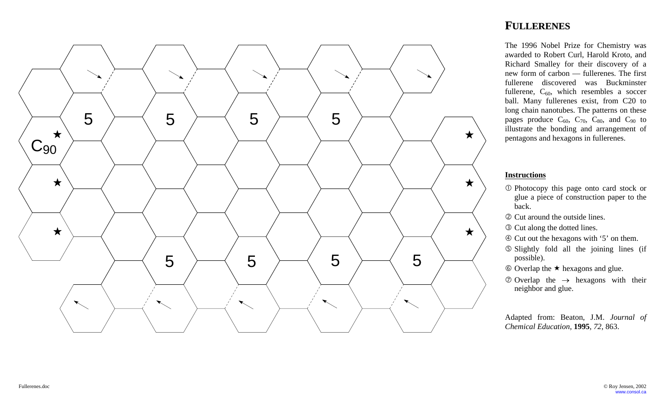

The 1996 Nobel Prize for Chemistry was awarded to Robert Curl, Harold Kroto, and Richard Smalley for their discovery of a new form of carbon — fullerenes. The first fullerene discovered was Buckminster fullerene,  $C_{60}$ , which resembles a soccer ball. Many fullerenes exist, from C20 to long chain nanotubes. The patterns on these pages produce  $C_{60}$ ,  $C_{70}$ ,  $C_{80}$ , and  $C_{90}$  to illustrate the bonding and arrangement of pentagons and hexagons in fullerenes.

### **Instructions**

- c Photocopy this page onto card stock or glue a piece of construction paper to the back.
- d Cut around the outside lines.
- **Example 2** Cut along the dotted lines.
- f Cut out the hexagons with '5' on them.
- g Slightly fold all the joining lines (if possible).
- $\circ$  Overlap the  $\star$  hexagons and glue.
- $\oslash$  Overlap the  $\rightarrow$  hexagons with their neighbor and glue.